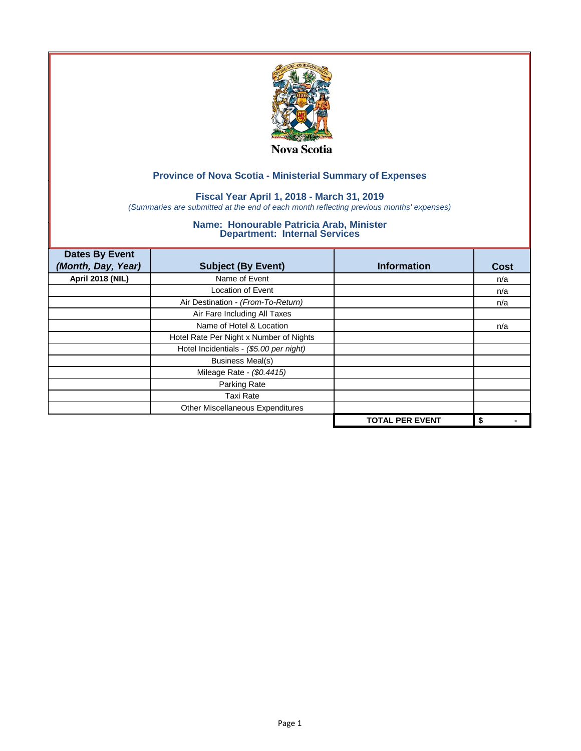

## **Fiscal Year April 1, 2018 - March 31, 2019**

*(Summaries are submitted at the end of each month reflecting previous months' expenses)*

| <b>Dates By Event</b>   |                                         |                        |             |
|-------------------------|-----------------------------------------|------------------------|-------------|
| (Month, Day, Year)      | <b>Subject (By Event)</b>               | <b>Information</b>     | <b>Cost</b> |
| <b>April 2018 (NIL)</b> | Name of Event                           |                        | n/a         |
|                         | <b>Location of Event</b>                |                        | n/a         |
|                         | Air Destination - (From-To-Return)      |                        | n/a         |
|                         | Air Fare Including All Taxes            |                        |             |
|                         | Name of Hotel & Location                |                        | n/a         |
|                         | Hotel Rate Per Night x Number of Nights |                        |             |
|                         | Hotel Incidentials - (\$5.00 per night) |                        |             |
|                         | <b>Business Meal(s)</b>                 |                        |             |
|                         | Mileage Rate - (\$0.4415)               |                        |             |
|                         | Parking Rate                            |                        |             |
|                         | <b>Taxi Rate</b>                        |                        |             |
|                         | Other Miscellaneous Expenditures        |                        |             |
|                         |                                         | <b>TOTAL PER EVENT</b> | \$          |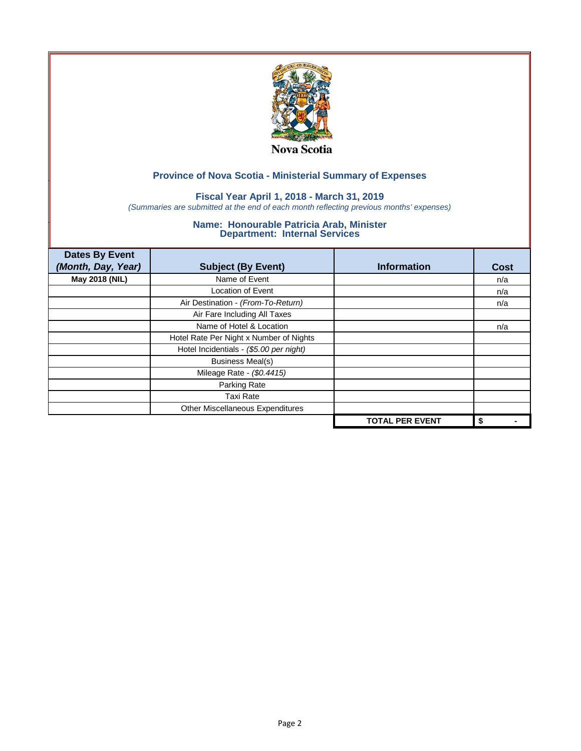

## **Fiscal Year April 1, 2018 - March 31, 2019**

*(Summaries are submitted at the end of each month reflecting previous months' expenses)*

| <b>Dates By Event</b><br>(Month, Day, Year) | <b>Subject (By Event)</b>               | <b>Information</b>     | <b>Cost</b> |
|---------------------------------------------|-----------------------------------------|------------------------|-------------|
| May 2018 (NIL)                              | Name of Event                           |                        | n/a         |
|                                             | Location of Event                       |                        | n/a         |
|                                             | Air Destination - (From-To-Return)      |                        | n/a         |
|                                             | Air Fare Including All Taxes            |                        |             |
|                                             | Name of Hotel & Location                |                        | n/a         |
|                                             | Hotel Rate Per Night x Number of Nights |                        |             |
|                                             | Hotel Incidentials - (\$5.00 per night) |                        |             |
|                                             | <b>Business Meal(s)</b>                 |                        |             |
|                                             | Mileage Rate - (\$0.4415)               |                        |             |
|                                             | Parking Rate                            |                        |             |
|                                             | <b>Taxi Rate</b>                        |                        |             |
|                                             | Other Miscellaneous Expenditures        |                        |             |
|                                             |                                         | <b>TOTAL PER EVENT</b> | \$          |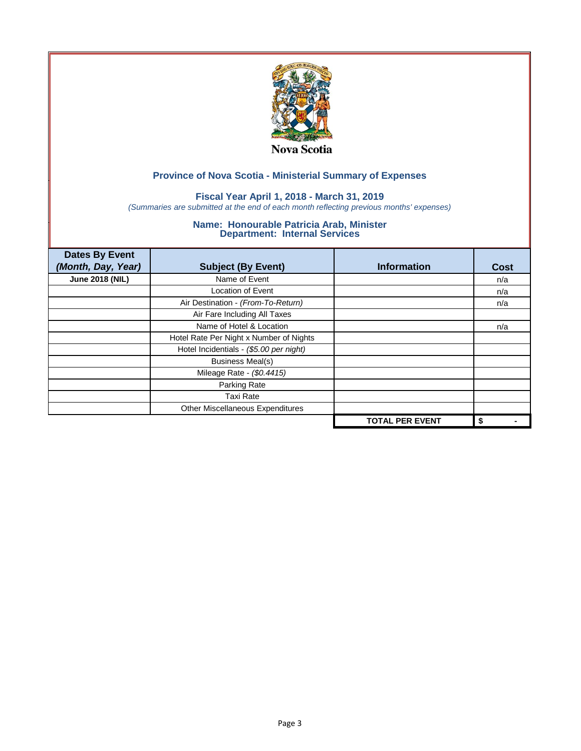

## **Fiscal Year April 1, 2018 - March 31, 2019**

*(Summaries are submitted at the end of each month reflecting previous months' expenses)*

| <b>Dates By Event</b><br>(Month, Day, Year) | <b>Subject (By Event)</b>               | <b>Information</b>     | <b>Cost</b> |
|---------------------------------------------|-----------------------------------------|------------------------|-------------|
| <b>June 2018 (NIL)</b>                      | Name of Event                           |                        | n/a         |
|                                             | <b>Location of Event</b>                |                        | n/a         |
|                                             | Air Destination - (From-To-Return)      |                        | n/a         |
|                                             | Air Fare Including All Taxes            |                        |             |
|                                             | Name of Hotel & Location                |                        | n/a         |
|                                             | Hotel Rate Per Night x Number of Nights |                        |             |
|                                             | Hotel Incidentials - (\$5.00 per night) |                        |             |
|                                             | <b>Business Meal(s)</b>                 |                        |             |
|                                             | Mileage Rate - (\$0.4415)               |                        |             |
|                                             | Parking Rate                            |                        |             |
|                                             | Taxi Rate                               |                        |             |
|                                             | Other Miscellaneous Expenditures        |                        |             |
|                                             |                                         | <b>TOTAL PER EVENT</b> | \$          |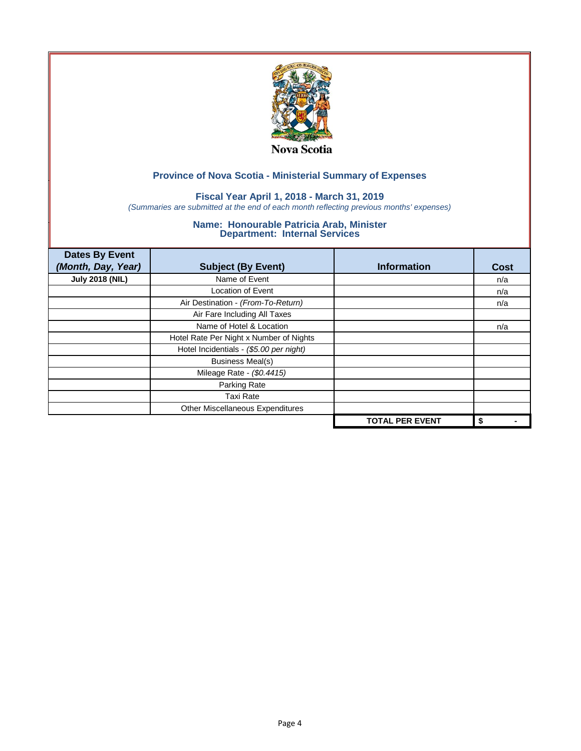

## **Fiscal Year April 1, 2018 - March 31, 2019**

*(Summaries are submitted at the end of each month reflecting previous months' expenses)*

| <b>Dates By Event</b><br>(Month, Day, Year) | <b>Subject (By Event)</b>               | <b>Information</b>     | <b>Cost</b> |
|---------------------------------------------|-----------------------------------------|------------------------|-------------|
| <b>July 2018 (NIL)</b>                      | Name of Event                           |                        | n/a         |
|                                             | Location of Event                       |                        | n/a         |
|                                             | Air Destination - (From-To-Return)      |                        | n/a         |
|                                             | Air Fare Including All Taxes            |                        |             |
|                                             | Name of Hotel & Location                |                        | n/a         |
|                                             | Hotel Rate Per Night x Number of Nights |                        |             |
|                                             | Hotel Incidentials - (\$5.00 per night) |                        |             |
|                                             | <b>Business Meal(s)</b>                 |                        |             |
|                                             | Mileage Rate - (\$0.4415)               |                        |             |
|                                             | Parking Rate                            |                        |             |
|                                             | <b>Taxi Rate</b>                        |                        |             |
|                                             | Other Miscellaneous Expenditures        |                        |             |
|                                             |                                         | <b>TOTAL PER EVENT</b> | \$          |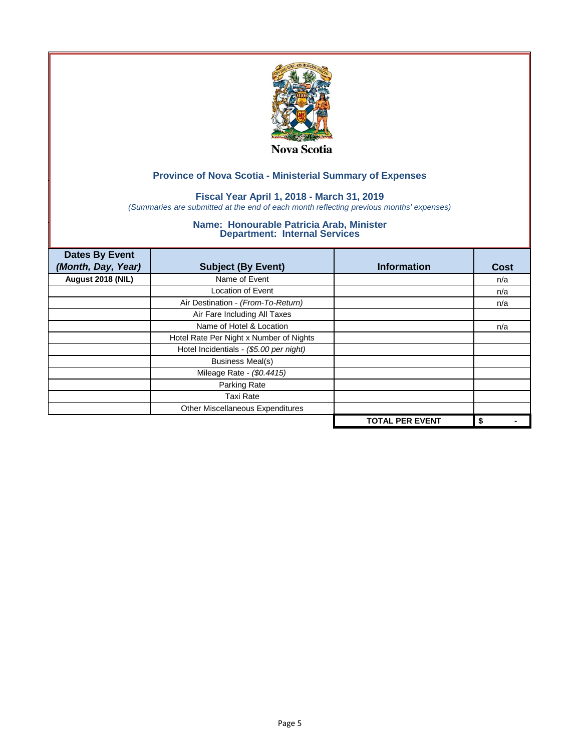

## **Fiscal Year April 1, 2018 - March 31, 2019**

*(Summaries are submitted at the end of each month reflecting previous months' expenses)*

| <b>Dates By Event</b><br>(Month, Day, Year) | <b>Subject (By Event)</b>               | <b>Information</b>     | <b>Cost</b> |
|---------------------------------------------|-----------------------------------------|------------------------|-------------|
| August 2018 (NIL)                           | Name of Event                           |                        | n/a         |
|                                             | <b>Location of Event</b>                |                        | n/a         |
|                                             | Air Destination - (From-To-Return)      |                        | n/a         |
|                                             | Air Fare Including All Taxes            |                        |             |
|                                             | Name of Hotel & Location                |                        | n/a         |
|                                             | Hotel Rate Per Night x Number of Nights |                        |             |
|                                             | Hotel Incidentials - (\$5.00 per night) |                        |             |
|                                             | <b>Business Meal(s)</b>                 |                        |             |
|                                             | Mileage Rate - (\$0.4415)               |                        |             |
|                                             | Parking Rate                            |                        |             |
|                                             | Taxi Rate                               |                        |             |
|                                             | Other Miscellaneous Expenditures        |                        |             |
|                                             |                                         | <b>TOTAL PER EVENT</b> | \$          |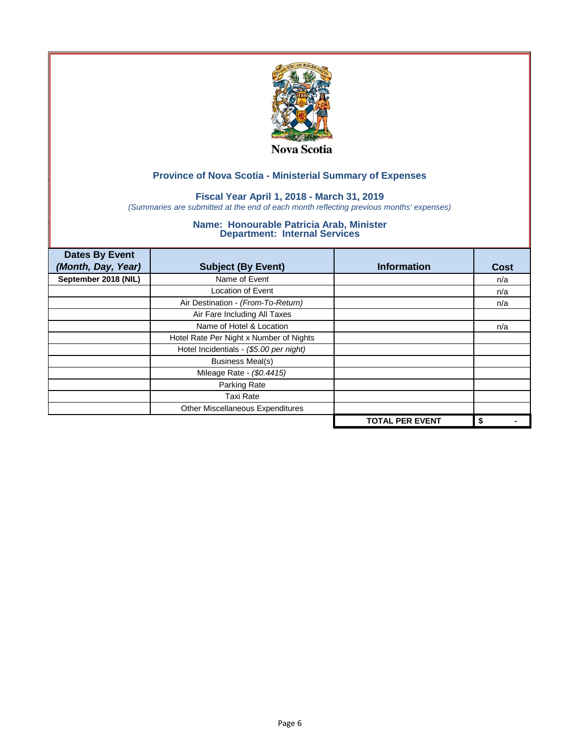

## **Fiscal Year April 1, 2018 - March 31, 2019**

*(Summaries are submitted at the end of each month reflecting previous months' expenses)*

| <b>Dates By Event</b><br>(Month, Day, Year) | <b>Subject (By Event)</b>               | <b>Information</b>     | <b>Cost</b> |
|---------------------------------------------|-----------------------------------------|------------------------|-------------|
| September 2018 (NIL)                        | Name of Event                           |                        | n/a         |
|                                             | <b>Location of Event</b>                |                        | n/a         |
|                                             | Air Destination - (From-To-Return)      |                        | n/a         |
|                                             | Air Fare Including All Taxes            |                        |             |
|                                             | Name of Hotel & Location                |                        | n/a         |
|                                             | Hotel Rate Per Night x Number of Nights |                        |             |
|                                             | Hotel Incidentials - (\$5.00 per night) |                        |             |
|                                             | <b>Business Meal(s)</b>                 |                        |             |
|                                             | Mileage Rate - (\$0.4415)               |                        |             |
|                                             | Parking Rate                            |                        |             |
|                                             | Taxi Rate                               |                        |             |
|                                             | Other Miscellaneous Expenditures        |                        |             |
|                                             |                                         | <b>TOTAL PER EVENT</b> | \$          |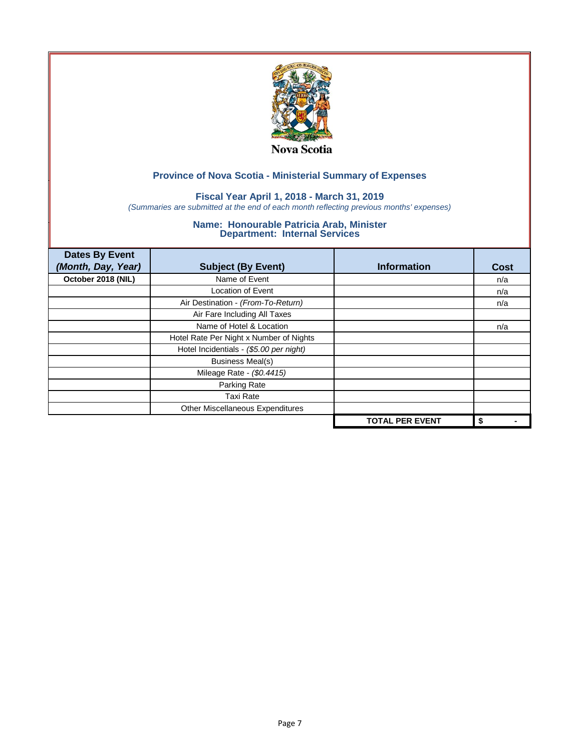

## **Fiscal Year April 1, 2018 - March 31, 2019**

*(Summaries are submitted at the end of each month reflecting previous months' expenses)*

| <b>Dates By Event</b><br>(Month, Day, Year) | <b>Subject (By Event)</b>               | <b>Information</b>     | <b>Cost</b> |
|---------------------------------------------|-----------------------------------------|------------------------|-------------|
| October 2018 (NIL)                          | Name of Event                           |                        | n/a         |
|                                             | <b>Location of Event</b>                |                        | n/a         |
|                                             | Air Destination - (From-To-Return)      |                        | n/a         |
|                                             | Air Fare Including All Taxes            |                        |             |
|                                             | Name of Hotel & Location                |                        | n/a         |
|                                             | Hotel Rate Per Night x Number of Nights |                        |             |
|                                             | Hotel Incidentials - (\$5.00 per night) |                        |             |
|                                             | <b>Business Meal(s)</b>                 |                        |             |
|                                             | Mileage Rate - (\$0.4415)               |                        |             |
|                                             | Parking Rate                            |                        |             |
|                                             | <b>Taxi Rate</b>                        |                        |             |
|                                             | Other Miscellaneous Expenditures        |                        |             |
|                                             |                                         | <b>TOTAL PER EVENT</b> | \$          |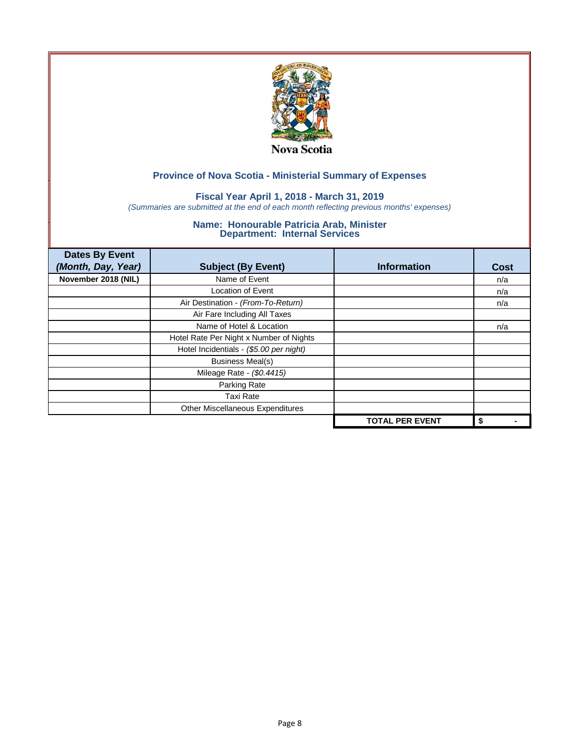

## **Fiscal Year April 1, 2018 - March 31, 2019**

*(Summaries are submitted at the end of each month reflecting previous months' expenses)*

| <b>Dates By Event</b><br>(Month, Day, Year) | <b>Subject (By Event)</b>               | <b>Information</b>     | <b>Cost</b> |
|---------------------------------------------|-----------------------------------------|------------------------|-------------|
| November 2018 (NIL)                         | Name of Event                           |                        | n/a         |
|                                             | <b>Location of Event</b>                |                        | n/a         |
|                                             | Air Destination - (From-To-Return)      |                        | n/a         |
|                                             | Air Fare Including All Taxes            |                        |             |
|                                             | Name of Hotel & Location                |                        | n/a         |
|                                             | Hotel Rate Per Night x Number of Nights |                        |             |
|                                             | Hotel Incidentials - (\$5.00 per night) |                        |             |
|                                             | <b>Business Meal(s)</b>                 |                        |             |
|                                             | Mileage Rate - (\$0.4415)               |                        |             |
|                                             | Parking Rate                            |                        |             |
|                                             | Taxi Rate                               |                        |             |
|                                             | Other Miscellaneous Expenditures        |                        |             |
|                                             |                                         | <b>TOTAL PER EVENT</b> | \$          |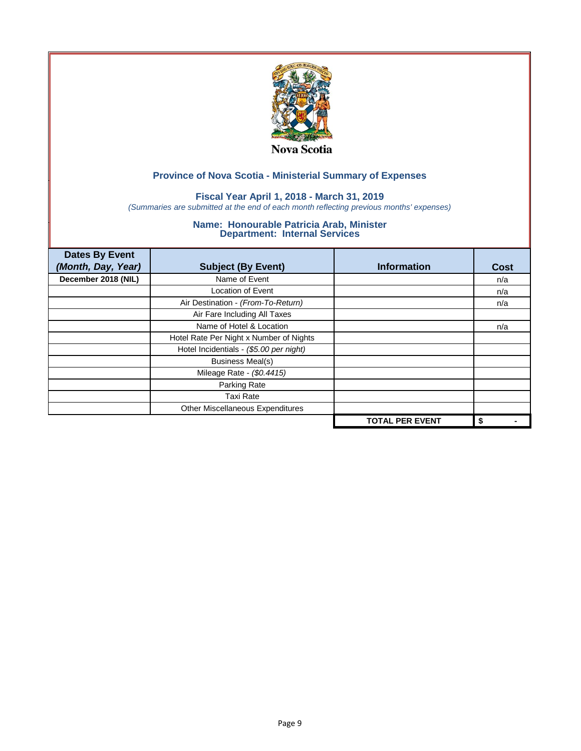

## **Fiscal Year April 1, 2018 - March 31, 2019**

*(Summaries are submitted at the end of each month reflecting previous months' expenses)*

| <b>Dates By Event</b><br>(Month, Day, Year) | <b>Subject (By Event)</b>               | <b>Information</b>     | <b>Cost</b> |
|---------------------------------------------|-----------------------------------------|------------------------|-------------|
| December 2018 (NIL)                         | Name of Event                           |                        | n/a         |
|                                             | <b>Location of Event</b>                |                        | n/a         |
|                                             | Air Destination - (From-To-Return)      |                        | n/a         |
|                                             | Air Fare Including All Taxes            |                        |             |
|                                             | Name of Hotel & Location                |                        | n/a         |
|                                             | Hotel Rate Per Night x Number of Nights |                        |             |
|                                             | Hotel Incidentials - (\$5.00 per night) |                        |             |
|                                             | <b>Business Meal(s)</b>                 |                        |             |
|                                             | Mileage Rate - (\$0.4415)               |                        |             |
|                                             | Parking Rate                            |                        |             |
|                                             | Taxi Rate                               |                        |             |
|                                             | Other Miscellaneous Expenditures        |                        |             |
|                                             |                                         | <b>TOTAL PER EVENT</b> | \$          |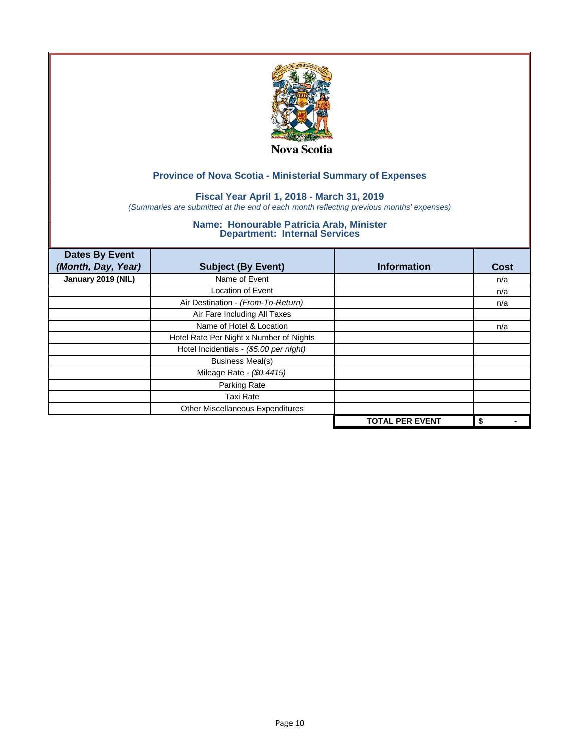

## **Fiscal Year April 1, 2018 - March 31, 2019**

*(Summaries are submitted at the end of each month reflecting previous months' expenses)*

| <b>Dates By Event</b><br>(Month, Day, Year) | <b>Subject (By Event)</b>               | <b>Information</b>     | <b>Cost</b> |
|---------------------------------------------|-----------------------------------------|------------------------|-------------|
| January 2019 (NIL)                          | Name of Event                           |                        | n/a         |
|                                             | <b>Location of Event</b>                |                        | n/a         |
|                                             | Air Destination - (From-To-Return)      |                        | n/a         |
|                                             | Air Fare Including All Taxes            |                        |             |
|                                             | Name of Hotel & Location                |                        | n/a         |
|                                             | Hotel Rate Per Night x Number of Nights |                        |             |
|                                             | Hotel Incidentials - (\$5.00 per night) |                        |             |
|                                             | <b>Business Meal(s)</b>                 |                        |             |
|                                             | Mileage Rate - (\$0.4415)               |                        |             |
|                                             | Parking Rate                            |                        |             |
|                                             | <b>Taxi Rate</b>                        |                        |             |
|                                             | Other Miscellaneous Expenditures        |                        |             |
|                                             |                                         | <b>TOTAL PER EVENT</b> | \$          |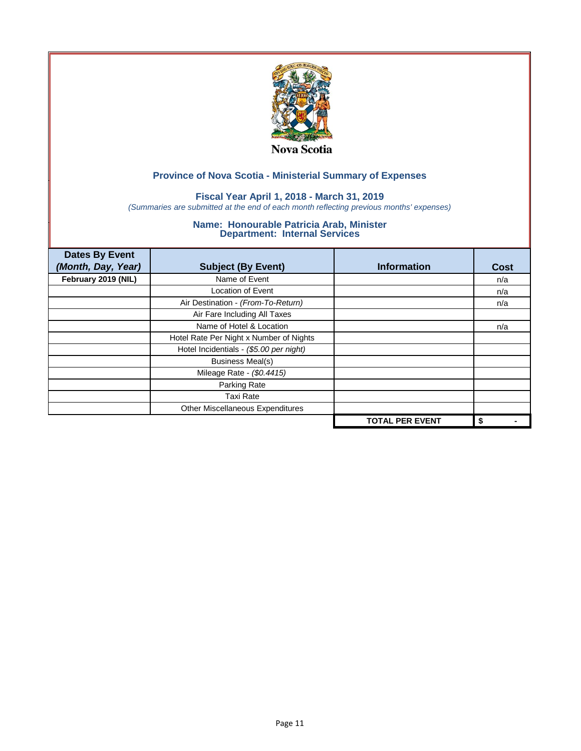

## **Fiscal Year April 1, 2018 - March 31, 2019**

*(Summaries are submitted at the end of each month reflecting previous months' expenses)*

| <b>Dates By Event</b><br>(Month, Day, Year) | <b>Subject (By Event)</b>               | <b>Information</b>     | <b>Cost</b> |
|---------------------------------------------|-----------------------------------------|------------------------|-------------|
| February 2019 (NIL)                         | Name of Event                           |                        | n/a         |
|                                             | <b>Location of Event</b>                |                        | n/a         |
|                                             | Air Destination - (From-To-Return)      |                        | n/a         |
|                                             | Air Fare Including All Taxes            |                        |             |
|                                             | Name of Hotel & Location                |                        | n/a         |
|                                             | Hotel Rate Per Night x Number of Nights |                        |             |
|                                             | Hotel Incidentials - (\$5.00 per night) |                        |             |
|                                             | <b>Business Meal(s)</b>                 |                        |             |
|                                             | Mileage Rate - (\$0.4415)               |                        |             |
|                                             | Parking Rate                            |                        |             |
|                                             | Taxi Rate                               |                        |             |
|                                             | Other Miscellaneous Expenditures        |                        |             |
|                                             |                                         | <b>TOTAL PER EVENT</b> | \$          |